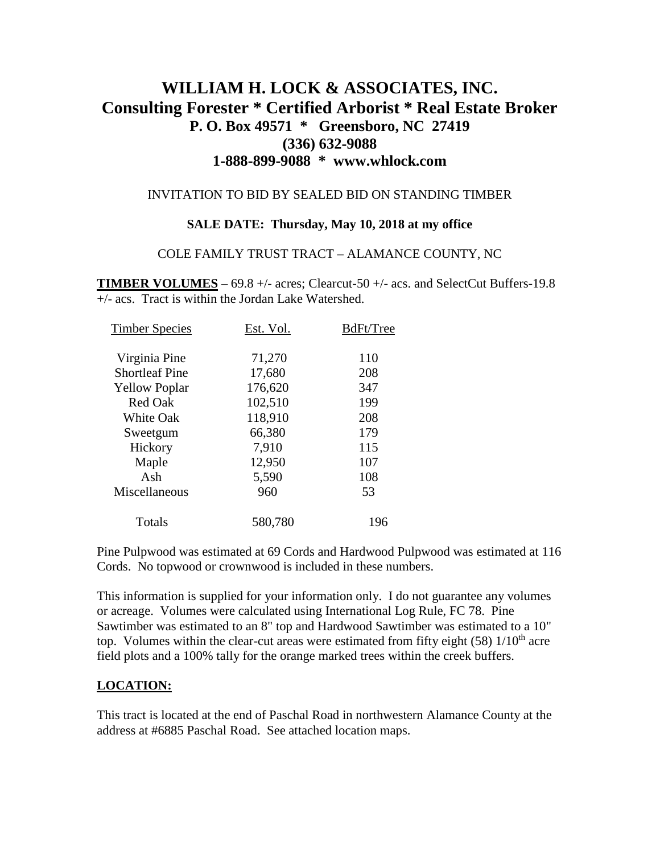# **WILLIAM H. LOCK & ASSOCIATES, INC. Consulting Forester \* Certified Arborist \* Real Estate Broker P. O. Box 49571 \* Greensboro, NC 27419 (336) 632-9088 1-888-899-9088 \* www.whlock.com**

### INVITATION TO BID BY SEALED BID ON STANDING TIMBER

#### **SALE DATE: Thursday, May 10, 2018 at my office**

#### COLE FAMILY TRUST TRACT – ALAMANCE COUNTY, NC

**TIMBER VOLUMES** – 69.8 +/- acres; Clearcut-50 +/- acs. and SelectCut Buffers-19.8 +/- acs. Tract is within the Jordan Lake Watershed.

| <b>Timber Species</b> | Est. Vol. | BdFt/Tree |
|-----------------------|-----------|-----------|
| Virginia Pine         | 71,270    | 110       |
| <b>Shortleaf Pine</b> | 17,680    | 208       |
| <b>Yellow Poplar</b>  | 176,620   | 347       |
| Red Oak               | 102,510   | 199       |
| <b>White Oak</b>      | 118,910   | 208       |
| Sweetgum              | 66,380    | 179       |
| Hickory               | 7,910     | 115       |
| Maple                 | 12,950    | 107       |
| Ash                   | 5,590     | 108       |
| Miscellaneous         | 960       | 53        |
| Totals                | 580,780   | 196       |

Pine Pulpwood was estimated at 69 Cords and Hardwood Pulpwood was estimated at 116 Cords. No topwood or crownwood is included in these numbers.

This information is supplied for your information only. I do not guarantee any volumes or acreage. Volumes were calculated using International Log Rule, FC 78. Pine Sawtimber was estimated to an 8" top and Hardwood Sawtimber was estimated to a 10" top. Volumes within the clear-cut areas were estimated from fifty eight  $(58)$  1/10<sup>th</sup> acre field plots and a 100% tally for the orange marked trees within the creek buffers.

### **LOCATION:**

This tract is located at the end of Paschal Road in northwestern Alamance County at the address at #6885 Paschal Road. See attached location maps.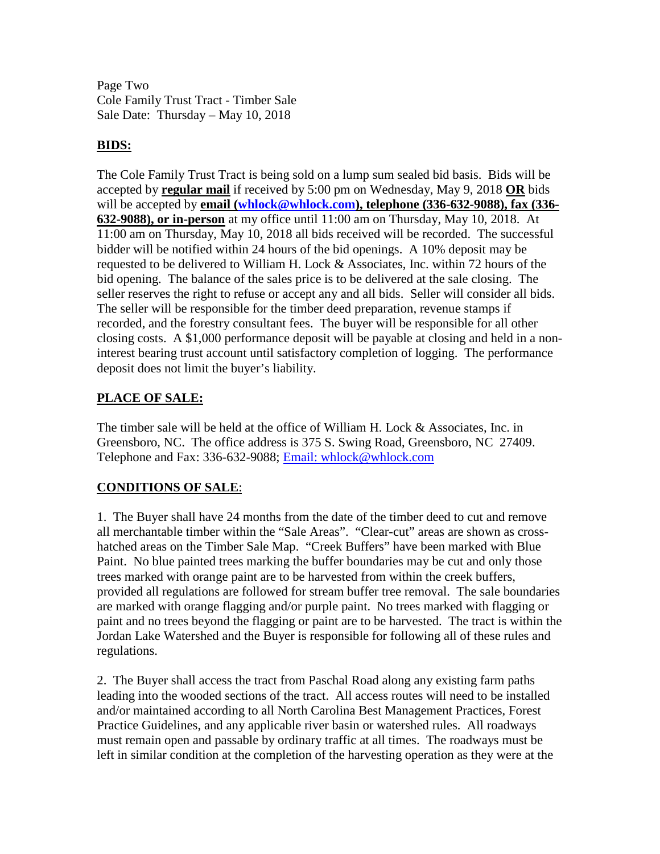Page Two Cole Family Trust Tract - Timber Sale Sale Date: Thursday – May 10, 2018

### **BIDS:**

The Cole Family Trust Tract is being sold on a lump sum sealed bid basis. Bids will be accepted by **regular mail** if received by 5:00 pm on Wednesday, May 9, 2018 **OR** bids will be accepted by **email [\(whlock@whlock.com\)](mailto:whlock@whlock.com), telephone (336-632-9088), fax (336- 632-9088), or in-person** at my office until 11:00 am on Thursday, May 10, 2018. At 11:00 am on Thursday, May 10, 2018 all bids received will be recorded. The successful bidder will be notified within 24 hours of the bid openings. A 10% deposit may be requested to be delivered to William H. Lock & Associates, Inc. within 72 hours of the bid opening. The balance of the sales price is to be delivered at the sale closing. The seller reserves the right to refuse or accept any and all bids. Seller will consider all bids. The seller will be responsible for the timber deed preparation, revenue stamps if recorded, and the forestry consultant fees. The buyer will be responsible for all other closing costs. A \$1,000 performance deposit will be payable at closing and held in a noninterest bearing trust account until satisfactory completion of logging. The performance deposit does not limit the buyer's liability.

### **PLACE OF SALE:**

The timber sale will be held at the office of William H. Lock & Associates, Inc. in Greensboro, NC. The office address is 375 S. Swing Road, Greensboro, NC 27409. Telephone and Fax: 336-632-9088; [Email: whlock@whlock.com](mailto:Email:%20whlock@whlock.com) 

## **CONDITIONS OF SALE**:

1. The Buyer shall have 24 months from the date of the timber deed to cut and remove all merchantable timber within the "Sale Areas". "Clear-cut" areas are shown as crosshatched areas on the Timber Sale Map. "Creek Buffers" have been marked with Blue Paint. No blue painted trees marking the buffer boundaries may be cut and only those trees marked with orange paint are to be harvested from within the creek buffers, provided all regulations are followed for stream buffer tree removal. The sale boundaries are marked with orange flagging and/or purple paint. No trees marked with flagging or paint and no trees beyond the flagging or paint are to be harvested. The tract is within the Jordan Lake Watershed and the Buyer is responsible for following all of these rules and regulations.

2. The Buyer shall access the tract from Paschal Road along any existing farm paths leading into the wooded sections of the tract. All access routes will need to be installed and/or maintained according to all North Carolina Best Management Practices, Forest Practice Guidelines, and any applicable river basin or watershed rules. All roadways must remain open and passable by ordinary traffic at all times. The roadways must be left in similar condition at the completion of the harvesting operation as they were at the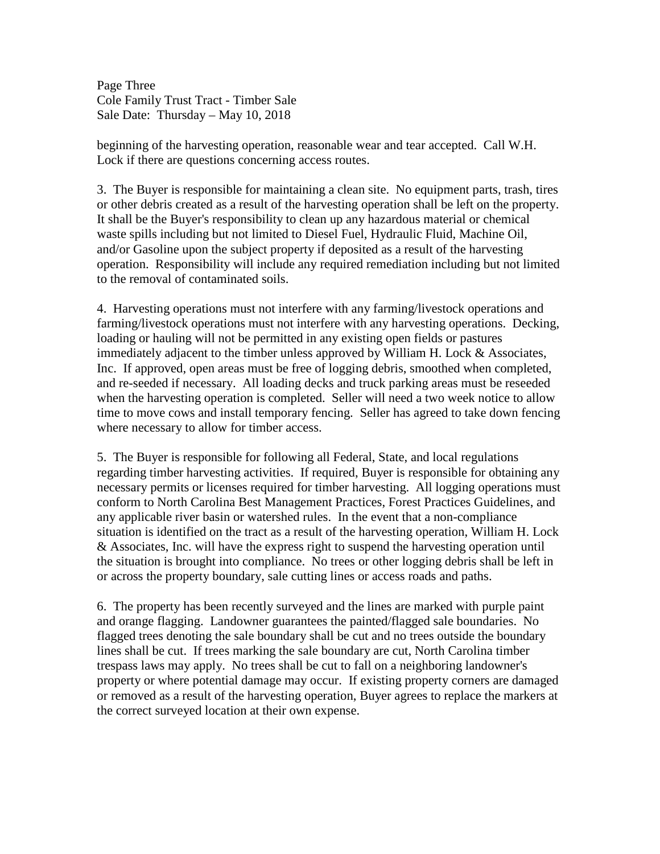Page Three Cole Family Trust Tract - Timber Sale Sale Date: Thursday – May 10, 2018

beginning of the harvesting operation, reasonable wear and tear accepted. Call W.H. Lock if there are questions concerning access routes.

3. The Buyer is responsible for maintaining a clean site. No equipment parts, trash, tires or other debris created as a result of the harvesting operation shall be left on the property. It shall be the Buyer's responsibility to clean up any hazardous material or chemical waste spills including but not limited to Diesel Fuel, Hydraulic Fluid, Machine Oil, and/or Gasoline upon the subject property if deposited as a result of the harvesting operation. Responsibility will include any required remediation including but not limited to the removal of contaminated soils.

4. Harvesting operations must not interfere with any farming/livestock operations and farming/livestock operations must not interfere with any harvesting operations. Decking, loading or hauling will not be permitted in any existing open fields or pastures immediately adjacent to the timber unless approved by William H. Lock & Associates, Inc. If approved, open areas must be free of logging debris, smoothed when completed, and re-seeded if necessary. All loading decks and truck parking areas must be reseeded when the harvesting operation is completed. Seller will need a two week notice to allow time to move cows and install temporary fencing. Seller has agreed to take down fencing where necessary to allow for timber access.

5. The Buyer is responsible for following all Federal, State, and local regulations regarding timber harvesting activities. If required, Buyer is responsible for obtaining any necessary permits or licenses required for timber harvesting. All logging operations must conform to North Carolina Best Management Practices, Forest Practices Guidelines, and any applicable river basin or watershed rules. In the event that a non-compliance situation is identified on the tract as a result of the harvesting operation, William H. Lock & Associates, Inc. will have the express right to suspend the harvesting operation until the situation is brought into compliance. No trees or other logging debris shall be left in or across the property boundary, sale cutting lines or access roads and paths.

6. The property has been recently surveyed and the lines are marked with purple paint and orange flagging. Landowner guarantees the painted/flagged sale boundaries. No flagged trees denoting the sale boundary shall be cut and no trees outside the boundary lines shall be cut. If trees marking the sale boundary are cut, North Carolina timber trespass laws may apply. No trees shall be cut to fall on a neighboring landowner's property or where potential damage may occur. If existing property corners are damaged or removed as a result of the harvesting operation, Buyer agrees to replace the markers at the correct surveyed location at their own expense.